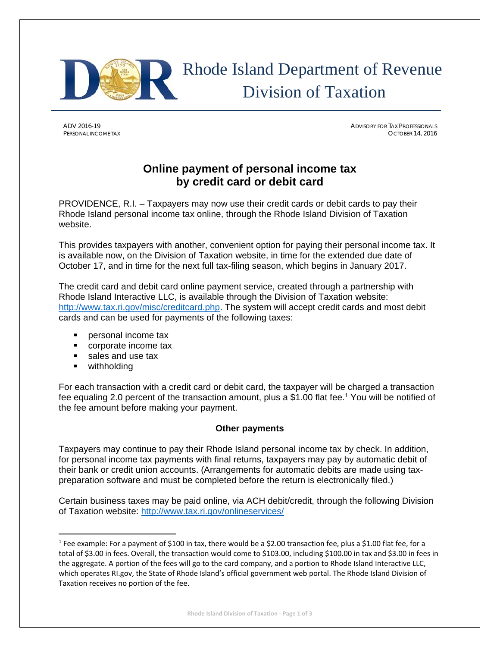

# Rhode Island Department of Revenue Division of Taxation

ADV 2016-19 ADVISORY FOR TAX PROFESSIONALS PERSONAL INCOME TAX OCTOBER 14, 2016

## **Online payment of personal income tax by credit card or debit card**

PROVIDENCE, R.I. – Taxpayers may now use their credit cards or debit cards to pay their Rhode Island personal income tax online, through the Rhode Island Division of Taxation website.

This provides taxpayers with another, convenient option for paying their personal income tax. It is available now, on the Division of Taxation website, in time for the extended due date of October 17, and in time for the next full tax-filing season, which begins in January 2017.

The credit card and debit card online payment service, created through a partnership with Rhode Island Interactive LLC, is available through the Division of Taxation website: http://www.tax.ri.gov/misc/creditcard.php. The system will accept credit cards and most debit cards and can be used for payments of the following taxes:

- **personal income tax**
- corporate income tax
- sales and use tax

**•** withholding

For each transaction with a credit card or debit card, the taxpayer will be charged a transaction fee equaling 2.0 percent of the transaction amount, plus a \$1.00 flat fee.<sup>1</sup> You will be notified of the fee amount before making your payment.

### **Other payments**

Taxpayers may continue to pay their Rhode Island personal income tax by check. In addition, for personal income tax payments with final returns, taxpayers may pay by automatic debit of their bank or credit union accounts. (Arrangements for automatic debits are made using taxpreparation software and must be completed before the return is electronically filed.)

Certain business taxes may be paid online, via ACH debit/credit, through the following Division of Taxation website: http://www.tax.ri.gov/onlineservices/

<sup>&</sup>lt;sup>1</sup> Fee example: For a payment of \$100 in tax, there would be a \$2.00 transaction fee, plus a \$1.00 flat fee, for a total of \$3.00 in fees. Overall, the transaction would come to \$103.00, including \$100.00 in tax and \$3.00 in fees in the aggregate. A portion of the fees will go to the card company, and a portion to Rhode Island Interactive LLC, which operates RI.gov, the State of Rhode Island's official government web portal. The Rhode Island Division of Taxation receives no portion of the fee.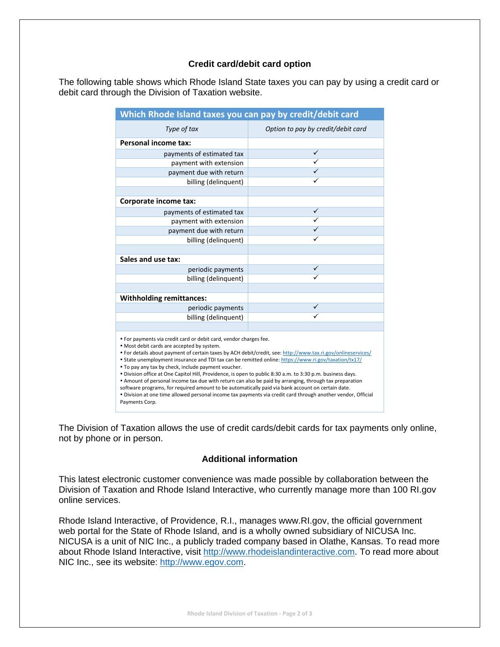#### **Credit card/debit card option**

The following table shows which Rhode Island State taxes you can pay by using a credit card or debit card through the Division of Taxation website.

| Which Rhode Island taxes you can pay by credit/debit card                                                                                                                                                                                                                                                                                                                                                                                                                                                                                                                                                                                                                                                                                                                                                                                                     |                                    |
|---------------------------------------------------------------------------------------------------------------------------------------------------------------------------------------------------------------------------------------------------------------------------------------------------------------------------------------------------------------------------------------------------------------------------------------------------------------------------------------------------------------------------------------------------------------------------------------------------------------------------------------------------------------------------------------------------------------------------------------------------------------------------------------------------------------------------------------------------------------|------------------------------------|
| Type of tax                                                                                                                                                                                                                                                                                                                                                                                                                                                                                                                                                                                                                                                                                                                                                                                                                                                   | Option to pay by credit/debit card |
| Personal income tax:                                                                                                                                                                                                                                                                                                                                                                                                                                                                                                                                                                                                                                                                                                                                                                                                                                          |                                    |
| payments of estimated tax                                                                                                                                                                                                                                                                                                                                                                                                                                                                                                                                                                                                                                                                                                                                                                                                                                     | ✓                                  |
| payment with extension                                                                                                                                                                                                                                                                                                                                                                                                                                                                                                                                                                                                                                                                                                                                                                                                                                        | ✓                                  |
| payment due with return                                                                                                                                                                                                                                                                                                                                                                                                                                                                                                                                                                                                                                                                                                                                                                                                                                       | ✓                                  |
| billing (delinquent)                                                                                                                                                                                                                                                                                                                                                                                                                                                                                                                                                                                                                                                                                                                                                                                                                                          | ✓                                  |
|                                                                                                                                                                                                                                                                                                                                                                                                                                                                                                                                                                                                                                                                                                                                                                                                                                                               |                                    |
| Corporate income tax:                                                                                                                                                                                                                                                                                                                                                                                                                                                                                                                                                                                                                                                                                                                                                                                                                                         |                                    |
| payments of estimated tax                                                                                                                                                                                                                                                                                                                                                                                                                                                                                                                                                                                                                                                                                                                                                                                                                                     | ✓                                  |
| payment with extension                                                                                                                                                                                                                                                                                                                                                                                                                                                                                                                                                                                                                                                                                                                                                                                                                                        | ✓                                  |
| payment due with return                                                                                                                                                                                                                                                                                                                                                                                                                                                                                                                                                                                                                                                                                                                                                                                                                                       | ✓                                  |
| billing (delinquent)                                                                                                                                                                                                                                                                                                                                                                                                                                                                                                                                                                                                                                                                                                                                                                                                                                          |                                    |
|                                                                                                                                                                                                                                                                                                                                                                                                                                                                                                                                                                                                                                                                                                                                                                                                                                                               |                                    |
| Sales and use tax:                                                                                                                                                                                                                                                                                                                                                                                                                                                                                                                                                                                                                                                                                                                                                                                                                                            |                                    |
| periodic payments                                                                                                                                                                                                                                                                                                                                                                                                                                                                                                                                                                                                                                                                                                                                                                                                                                             | ✓                                  |
| billing (delinquent)                                                                                                                                                                                                                                                                                                                                                                                                                                                                                                                                                                                                                                                                                                                                                                                                                                          |                                    |
|                                                                                                                                                                                                                                                                                                                                                                                                                                                                                                                                                                                                                                                                                                                                                                                                                                                               |                                    |
| <b>Withholding remittances:</b>                                                                                                                                                                                                                                                                                                                                                                                                                                                                                                                                                                                                                                                                                                                                                                                                                               |                                    |
| periodic payments                                                                                                                                                                                                                                                                                                                                                                                                                                                                                                                                                                                                                                                                                                                                                                                                                                             |                                    |
| billing (delinquent)                                                                                                                                                                                                                                                                                                                                                                                                                                                                                                                                                                                                                                                                                                                                                                                                                                          |                                    |
|                                                                                                                                                                                                                                                                                                                                                                                                                                                                                                                                                                                                                                                                                                                                                                                                                                                               |                                    |
| . For payments via credit card or debit card, vendor charges fee.<br>. Most debit cards are accepted by system.<br>• For details about payment of certain taxes by ACH debit/credit, see: http://www.tax.ri.gov/onlineservices/<br>• State unemployment insurance and TDI tax can be remitted online: https://www.ri.gov/taxation/tx17/<br>. To pay any tax by check, include payment voucher.<br>. Division office at One Capitol Hill, Providence, is open to public 8:30 a.m. to 3:30 p.m. business days.<br>. Amount of personal income tax due with return can also be paid by arranging, through tax preparation<br>software programs, for required amount to be automatically paid via bank account on certain date.<br>. Division at one time allowed personal income tax payments via credit card through another vendor, Official<br>Payments Corp. |                                    |

The Division of Taxation allows the use of credit cards/debit cards for tax payments only online, not by phone or in person.

#### **Additional information**

This latest electronic customer convenience was made possible by collaboration between the Division of Taxation and Rhode Island Interactive, who currently manage more than 100 RI.gov online services.

Rhode Island Interactive, of Providence, R.I., manages www.RI.gov, the official government web portal for the State of Rhode Island, and is a wholly owned subsidiary of NICUSA Inc. NICUSA is a unit of NIC Inc., a publicly traded company based in Olathe, Kansas. To read more about Rhode Island Interactive, visit http://www.rhodeislandinteractive.com. To read more about NIC Inc., see its website: http://www.egov.com.